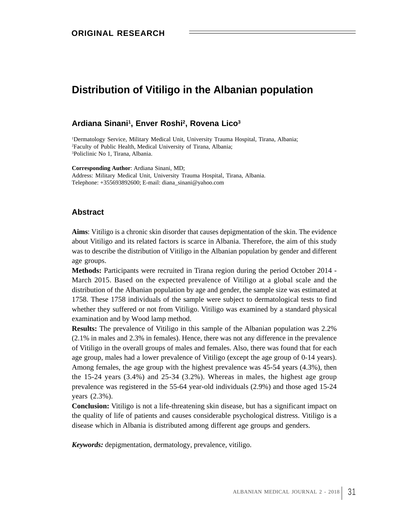# **Distribution of Vitiligo in the Albanian population**

### **Ardiana Sinani1 , Enver Roshi2 , Rovena Lico 3**

1Dermatology Service, Military Medical Unit, University Trauma Hospital, Tirana, Albania; 2Faculty of Public Health, Medical University of Tirana, Albania; 3Policlinic No 1, Tirana, Albania.

**Corresponding Author**: Ardiana Sinani, MD; Address: Military Medical Unit, University Trauma Hospital, Tirana, Albania. Telephone: +355693892600; E-mail: diana\_sinani@yahoo.com

## **Abstract**

**Aims**: Vitiligo is a chronic skin disorder that causes depigmentation of the skin. The evidence about Vitiligo and its related factors is scarce in Albania. Therefore, the aim of this study was to describe the distribution of Vitiligo in the Albanian population by gender and different age groups.

**Methods:** Participants were recruited in Tirana region during the period October 2014 - March 2015. Based on the expected prevalence of Vitiligo at a global scale and the distribution of the Albanian population by age and gender, the sample size was estimated at 1758. These 1758 individuals of the sample were subject to dermatological tests to find whether they suffered or not from Vitiligo. Vitiligo was examined by a standard physical examination and by Wood lamp method.

**Results:** The prevalence of Vitiligo in this sample of the Albanian population was 2.2% (2.1% in males and 2.3% in females). Hence, there was not any difference in the prevalence of Vitiligo in the overall groups of males and females. Also, there was found that for each age group, males had a lower prevalence of Vitiligo (except the age group of 0-14 years). Among females, the age group with the highest prevalence was 45-54 years (4.3%), then the 15-24 years (3.4%) and 25-34 (3.2%). Whereas in males, the highest age group prevalence was registered in the 55-64 year-old individuals (2.9%) and those aged 15-24 years  $(2.3\%)$ .

**Conclusion:** Vitiligo is not a life-threatening skin disease, but has a significant impact on the quality of life of patients and causes considerable psychological distress. Vitiligo is a disease which in Albania is distributed among different age groups and genders.

*Keywords:* depigmentation, dermatology, prevalence, vitiligo.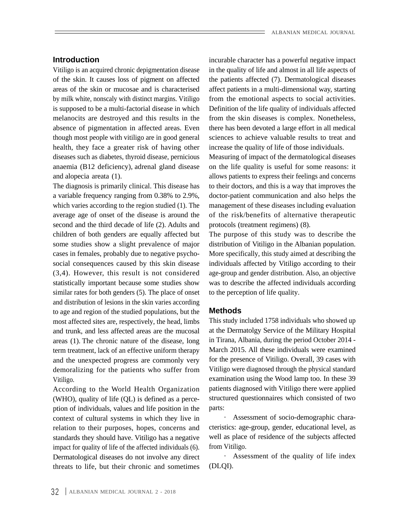absence of pigmentation in affected areas. Even though most people with vitiligo are in good general health, they face a greater risk of having other diseases such as diabetes, thyroid disease, pernicious Measuring of impact of the dermatological diseases anaemia (B12 deficiency), adrenal gland disease on the life quality is useful for some reasons: it

a variable frequency ranging from 0.38% to 2.9%, doctor-patient communication and also helps the which varies according to the region studied (1). The management of these diseases including evaluation average age of onset of the disease is around the of the risk/benefits of alternative therapeutic second and the third decade of life (2). Adults and children of both genders are equally affected but The purpose of this study was to describe the some studies show a slight prevalence of major distribution of Vitiligo in the Albanian population. cases in females, probably due to negative psychosocial consequences caused by this skin disease individuals affected by Vitiligo according to their (3,4). However, this result is not considered statistically important because some studies show was to describe the affected individuals according similar rates for both genders (5). The place of onset and distribution of lesions in the skin varies according to age and region of the studied populations, but the **Methods** most affected sites are, respectively, the head, limbs and trunk, and less affected areas are the mucosal areas (1). The chronic nature of the disease, long term treatment, lack of an effective uniform therapy and the unexpected progress are commonly very demoralizing for the patients who suffer from

According to the World Health Organization (WHO), quality of life (QL) is defined as a perce ption of individuals, values and life position in the context of cultural systems in which they live in relation to their purposes, hopes, concerns and standards they should have. Vitiligo has a negative well as place of residence of the subjects affected impact for quality of life of the affected individuals (6). from Vitiligo. Dermatological diseases do not involve any direct threats to life, but their chronic and sometimes

**Introduction incurable character has a powerful negative impact** Vitiligo is an acquired chronic depigmentation disease in the quality of life and almost in all life aspects of of the skin. It causes loss of pigment on affected the patients affected (7). Dermatological diseases areas of the skin or mucosae and is characterised affect patients in a multi-dimensional way, starting by milk white, nonscaly with distinct margins. Vitiligo from the emotional aspects to social activities. is supposed to be a multi-factorial disease in which Definition of the life quality of individuals affected melanocits are destroyed and this results in the from the skin diseases is complex. Nonetheless, there has been devoted a large effort in all medical sciences to achieve valuable results to treat and increase the quality of life of those individuals.

and alopecia areata (1). allows patients to express their feelings and concerns and alopecia areata (1). The diagnosis is primarily clinical. This disease has to their doctors, and this is a way that improves the protocols(treatment regimens) (8).

> More specifically, this study aimed at describing the age-group and gender distribution. Also, an objective to the perception of life quality.

### **Methods**

Vitiligo. examination using the Wood lamp too. In these 39 This study included 1758 individuals who showed up at the Dermatolgy Service of the Military Hospital in Tirana, Albania, during the period October 2014 - March 2015. All these individuals were examined for the presence of Vitiligo. Overall, 39 cases with Vitiligo were diagnosed through the physical standard patients diagnosed with Vitiligo there were applied structured questionnaires which consisted of two parts:  $\blacksquare$ 

> · Assessment of socio-demographic chara cteristics: age-group, gender, educational level, as from Vitiligo.

· Assessment of the quality of life index (DLQI).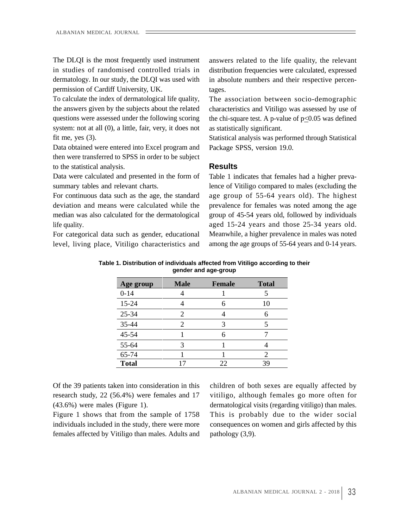The DLQI is the most frequently used instrument permission of Cardiff University, UK.

To calculate the index of dermatological life quality, system: not at all (0), a little, fair, very, it does not fit me, yes (3). Statistical analysis was performed through Statistical

Data obtained were entered into Excel program and Package SPSS, version 19.0. then were transferred to SPSS in order to be subject to the statistical analysis. **Example 3 Results Results** 

Data were calculated and presented in the form of

For categorical data such as gender, educational level, living place, Vitiligo characteristics and among the age groups of 55-64 years and 0-14 years.

in studies of randomised controlled trials in distribution frequencies were calculated, expressed dermatology. In our study, the DLQI was used with in absolute numbers and their respective percenanswers related to the life quality, the relevant tages.

the answers given by the subjects about the related characteristics and Vitiligo was assessed by use of questions were assessed under the following scoring the chi-square test. A p-value of  $p\leq 0.05$  was defined The association between socio-demographic as statistically significant.

Package SPSS, version 19.0.

### **Results**

summary tables and relevant charts. lence of Vitiligo compared to males (excluding the For continuous data such as the age, the standard age group of 55-64 years old). The highest deviation and means were calculated while the prevalence for females was noted among the age median was also calculated for the dermatological group of 45-54 years old, followed by individuals life quality. aged 15-24 years and those 25-34 years old. Table 1 indicates that females had a higher preva-Meanwhile, a higher prevalence in males was noted

**Table 1. Distribution of individuals affected from Vitiligo according to their gender and age-group**

| Age group    | <b>Male</b> | Female | <b>Total</b> |
|--------------|-------------|--------|--------------|
| $0 - 14$     |             |        |              |
| $15 - 24$    |             |        |              |
| $25-34$      |             |        |              |
| 35-44        |             |        |              |
| 45-54        |             |        |              |
| 55-64        |             |        |              |
| 65-74        |             |        |              |
| <b>Total</b> |             |        |              |

females affected by Vitiligo than males. Adults and

Of the 39 patients taken into consideration in this children of both sexes are equally affected by research study, 22 (56.4%) were females and 17 vitiligo, although females go more often for (43.6%) were males (Figure 1). dermatological visits (regarding vitiligo) than males. Figure 1 shows that from the sample of 1758 This is probably due to the wider social individuals included in the study, there were more consequences on women and girls affected by this pathology (3,9).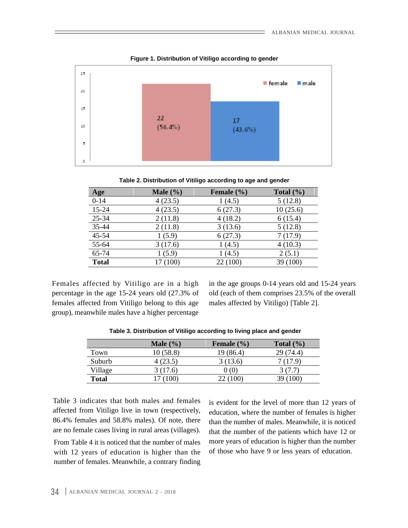

**Figure 1. Distribution of Vitiligo according to gender**

**Table 2. Distribution of Vitiligo according to age and gender**

| Age          | <b>Male</b> $(\frac{6}{6})$ | Female $(\% )$ | Total $(\% )$ |
|--------------|-----------------------------|----------------|---------------|
| $0 - 14$     | 4(23.5)                     | 1(4.5)         | 5(12.8)       |
| 15-24        | 4(23.5)                     | 6(27.3)        | 10(25.6)      |
| 25-34        | 2(11.8)                     | 4(18.2)        | 6(15.4)       |
| 35-44        | 2(11.8)                     | 3(13.6)        | 5(12.8)       |
| 45-54        | 1(5.9)                      | 6(27.3)        | 7(17.9)       |
| 55-64        | 3(17.6)                     | 1(4.5)         | 4(10.3)       |
| 65-74        | 1(5.9)                      | (4.5)          | 2(5.1)        |
| <b>Total</b> | 17(100)                     | 22(100)        | 39(100)       |

Females affected by Vitiligo are in a high in theage groups 0-14 years old and 15-24 years percentage in the age 15-24 years old (27.3% of old (each of them comprises 23.5% of the overall females affected from Vitiligo belong to this age group), meanwhile males have a higher percentage

males affected by Vitiligo) [Table 2].

|              |                    | ____<br>_____  | ______                   |
|--------------|--------------------|----------------|--------------------------|
|              | <b>Male</b> $(\%)$ | Female $(\% )$ | Total $(\% )$            |
| Town         | 10(58.8)           | 19 (86.4       | 29(744)                  |
| Suburb       | (23.5)             | (13.6)         | (17.9)                   |
| Village      | 3(176)             | ) ( ( )        | $\sim$ $\sim$            |
| <b>Total</b> | 17(100)            | 221100         | $\sim$<br><b>37 (TUU</b> |

**Table 3. Distribution of Vitiligo according to living place and gender**

Table 3 indicates that both males and females affected from Vitiligo live in town (respectively, 86.4% females and 58.8% males). Of note, there are no female cases living in rural areas (villages).

From Table 4 it is noticed that the number of males with 12 years of education is higher than the number of females. Meanwhile, a contrary finding is evident for the level of more than 12 years of education, where the number of females is higher than the number of males. Meanwhile, it is noticed that the number of the patients which have 12 or more years of education is higher than the number of those who have 9 or less years of education.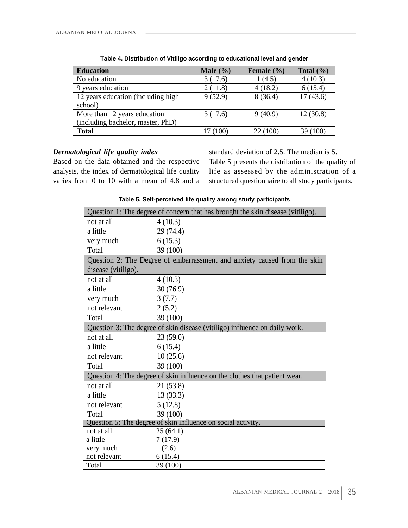| <b>Education</b>                   | Male $(\% )$ | Female $(\% )$ | Total $(\% )$ |
|------------------------------------|--------------|----------------|---------------|
| No education                       | 3(17.6)      | (4.5)          | 4(10.3)       |
| 9 years education                  | 2(11.8)      | 4(18.2)        | 6(15.4)       |
| 12 years education (including high | 9(52.9)      | 8(36.4)        | 17(43.6)      |
| school)                            |              |                |               |
| More than 12 years education       | 3(17.6)      | 9(40.9)        | 12(30.8)      |
| (including bachelor, master, PhD)  |              |                |               |
| <b>Total</b>                       | 17(100)      | 22(100)        | 39(100)       |

| Table 4. Distribution of Vitiligo according to educational level and gender |  |  |  |  |  |
|-----------------------------------------------------------------------------|--|--|--|--|--|
|                                                                             |  |  |  |  |  |

Based on the data obtained and the respective analysis, the index of dermatological life quality life as assessed by the administration of a

*Dermatological life quality index* standard deviation of 2.5. The median is 5. varies from 0 to 10 with a mean of 4.8 and a structured questionnaire to all study participants. Table 5 presents the distribution of the quality of

|                           | Question 1: The degree of concern that has brought the skin disease (vitiligo). |
|---------------------------|---------------------------------------------------------------------------------|
| not at all                | 4(10.3)                                                                         |
| a little                  | 29(74.4)                                                                        |
| very much                 | 6(15.3)                                                                         |
| Total                     | 39(100)                                                                         |
|                           | Question 2: The Degree of embarrassment and anxiety caused from the skin        |
| disease (vitiligo).       |                                                                                 |
| not at all                | 4(10.3)                                                                         |
| a little                  | 30(76.9)                                                                        |
| very much                 | 3(7.7)                                                                          |
| not relevant              | 2(5.2)                                                                          |
| Total                     | 39(100)                                                                         |
|                           | Question 3: The degree of skin disease (vitiligo) influence on daily work.      |
| not at all                | 23(59.0)                                                                        |
| a little                  | 6(15.4)                                                                         |
| not relevant              | 10(25.6)                                                                        |
| Total                     | 39(100)                                                                         |
|                           | Question 4: The degree of skin influence on the clothes that patient wear.      |
| not at all                | 21(53.8)                                                                        |
| a little                  | 13(33.3)                                                                        |
| not relevant              | 5(12.8)                                                                         |
| Total                     | 39(100)                                                                         |
|                           | Question 5: The degree of skin influence on social activity.                    |
| not at all                | 25(64.1)                                                                        |
| a little                  | 7(17.9)                                                                         |
| very much<br>not relevant | 1(2.6)<br>6(15.4)                                                               |
| Total                     | 39(100)                                                                         |

**Table 5. Self-perceived life quality among study participants**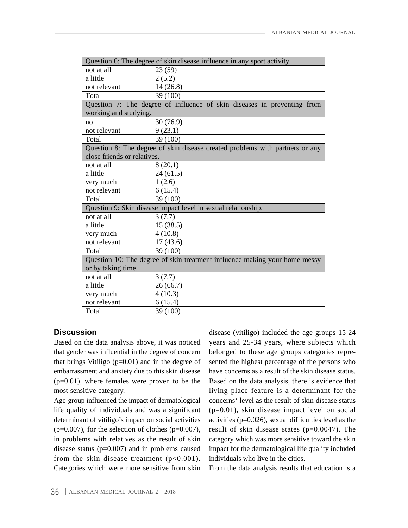|                             | Question 6: The degree of skin disease influence in any sport activity.      |
|-----------------------------|------------------------------------------------------------------------------|
| not at all                  | 23(59)                                                                       |
| a little                    | 2(5.2)                                                                       |
| not relevant                | 14(26.8)                                                                     |
| Total                       | 39 (100)                                                                     |
|                             | Question 7: The degree of influence of skin diseases in preventing from      |
| working and studying.       |                                                                              |
| no                          | 30(76.9)                                                                     |
| not relevant                | 9(23.1)                                                                      |
| Total                       | 39(100)                                                                      |
|                             | Question 8: The degree of skin disease created problems with partners or any |
| close friends or relatives. |                                                                              |
| not at all                  | 8(20.1)                                                                      |
| a little                    | 24(61.5)                                                                     |
| very much                   | 1(2.6)                                                                       |
| not relevant                | 6(15.4)                                                                      |
| Total                       | 39(100)                                                                      |
|                             | Question 9: Skin disease impact level in sexual relationship.                |
| not at all                  | 3(7.7)                                                                       |
| a little                    | 15(38.5)                                                                     |
| very much                   | 4(10.8)                                                                      |
| not relevant                | 17(43.6)                                                                     |
| Total                       | 39(100)                                                                      |
|                             | Question 10: The degree of skin treatment influence making your home messy   |
| or by taking time.          |                                                                              |
| not at all                  | 3(7.7)                                                                       |
| a little                    | 26(66.7)                                                                     |
| very much                   | 4(10.3)                                                                      |
| not relevant                | 6(15.4)                                                                      |
| Total                       | 39 (100)                                                                     |

life quality of individuals and was a significant from the skin disease treatment  $(p<0.001)$ . Categories which were more sensitive from skin

**Discussion** disease (vitiligo) included the age groups 15-24 Based on the data analysis above, it was noticed years and 25-34 years, where subjects which that gender was influential in the degree of concern belonged to these age groups categories repre that brings Vitiligo (p=0.01) and in the degree of sented the highest percentage of the persons who embarrassment and anxiety due to this skin disease have concerns as a result of the skin disease status. (p=0.01), where females were proven to be the Based on the data analysis, there is evidence that most sensitive category. living place feature is a determinant for the Age-group influenced the impact of dermatological concerns' level as the result of skin disease status determinant of vitiligo's impact on social activities activities  $(p=0.026)$ , sexual difficulties level as the ( $p=0.007$ ), for the selection of clothes ( $p=0.007$ ), result of skin disease states ( $p=0.0047$ ). The in problems with relatives as the result of skin category which was more sensitive toward the skin disease status (p=0.007) and in problems caused impact for the dermatological life quality included (p=0.01), skin disease impact level on social individuals who live in the cities.

From the data analysis results that education is a